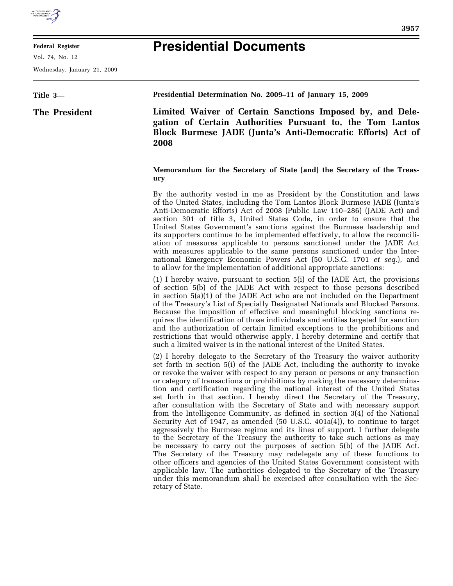

## **Federal Register**

Vol. 74, No. 12

Wednesday, January 21, 2009

## **Presidential Documents**

## **Title 3— The President Presidential Determination No. 2009–11 of January 15, 2009**

**Limited Waiver of Certain Sanctions Imposed by, and Delegation of Certain Authorities Pursuant to, the Tom Lantos Block Burmese JADE (Junta's Anti-Democratic Efforts) Act of 2008** 

## **Memorandum for the Secretary of State [and] the Secretary of the Treasury**

By the authority vested in me as President by the Constitution and laws of the United States, including the Tom Lantos Block Burmese JADE (Junta's Anti-Democratic Efforts) Act of 2008 (Public Law 110–286) (JADE Act) and section 301 of title 3, United States Code, in order to ensure that the United States Government's sanctions against the Burmese leadership and its supporters continue to be implemented effectively, to allow the reconciliation of measures applicable to persons sanctioned under the JADE Act with measures applicable to the same persons sanctioned under the International Emergency Economic Powers Act (50 U.S.C. 1701 *et seq*.), and to allow for the implementation of additional appropriate sanctions:

(1) I hereby waive, pursuant to section 5(i) of the JADE Act, the provisions of section 5(b) of the JADE Act with respect to those persons described in section 5(a)(1) of the JADE Act who are not included on the Department of the Treasury's List of Specially Designated Nationals and Blocked Persons. Because the imposition of effective and meaningful blocking sanctions requires the identification of those individuals and entities targeted for sanction and the authorization of certain limited exceptions to the prohibitions and restrictions that would otherwise apply, I hereby determine and certify that such a limited waiver is in the national interest of the United States.

(2) I hereby delegate to the Secretary of the Treasury the waiver authority set forth in section 5(i) of the JADE Act, including the authority to invoke or revoke the waiver with respect to any person or persons or any transaction or category of transactions or prohibitions by making the necessary determination and certification regarding the national interest of the United States set forth in that section. I hereby direct the Secretary of the Treasury, after consultation with the Secretary of State and with necessary support from the Intelligence Community, as defined in section 3(4) of the National Security Act of 1947, as amended (50 U.S.C. 401a(4)), to continue to target aggressively the Burmese regime and its lines of support. I further delegate to the Secretary of the Treasury the authority to take such actions as may be necessary to carry out the purposes of section 5(b) of the JADE Act. The Secretary of the Treasury may redelegate any of these functions to other officers and agencies of the United States Government consistent with applicable law. The authorities delegated to the Secretary of the Treasury under this memorandum shall be exercised after consultation with the Secretary of State.